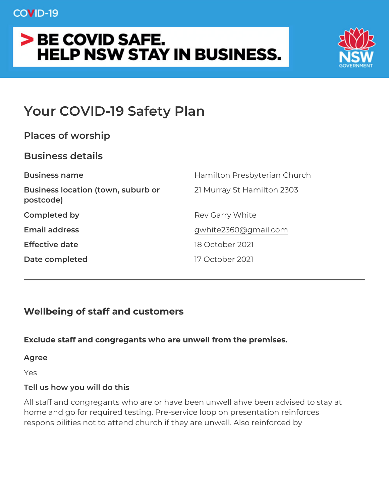# Your COVID-19 Safety Plan

| Places of worship |                                                             |
|-------------------|-------------------------------------------------------------|
| Business details  |                                                             |
| Business name     | Hamilton Presbyterian Church                                |
| postcode)         | Business location (town, suburb2 or Murray St Hamilton 2303 |
| Completed by      | Rev Garry White                                             |
| Email address     | gwhite 2360@gmail.com                                       |
| Effective date    | 18 October 2021                                             |
| Date completed    | 17 October 2021                                             |

Wellbeing of staff and customers

Exclude staff and congregants who are unwell from the premises.

Agree

Yes

Tell us how you will do this

All staff and congregants who are or have been unwell ahve been a home and go for required testing. Pre-service loop on presentation responsibilities not to attend church if they are unwell. Also reinfo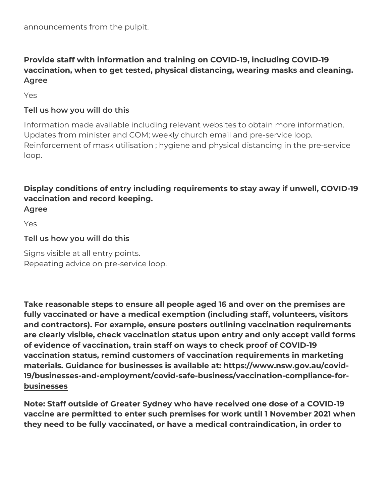announcements from the pulpit.

Provide staff with information and training on COVID-19, including vaccination, when to get tested, physical distancing, wearing mask Agree

Yes

Tell us how you will do this

Information made available including relevant websites to obtain m Updates from minister and COM; weekly church email and pre-servi Reinforcement of mask utilisation ; hygiene and physical distancing loop.

Display conditions of entry including requirements to stay away if vaccination and record keeping. Agree

Yes

Tell us how you will do this

Signs visible at all entry points. Repeating advice on pre-service loop.

Take reasonable steps to ensure all people aged 16 and over on the fully vaccinated or have a medical exemption (including staff, volu and contractors). For example, ensure posters outlining vaccinatio are clearly visible, check vaccination status upon entry and only a of evidence of vaccination, train staff on ways to check proof of C vaccination status, remind customers of vaccination requirements in materials. Guidance for businesses i**s** taps://awbwew.artsw.gov.au/covid-[19/businesses-and-employment/covid-safe-business/vaccina](https://www.nsw.gov.au/covid-19/businesses-and-employment/covid-safe-business/vaccination-compliance-for-businesses)tion-com [business](https://www.nsw.gov.au/covid-19/businesses-and-employment/covid-safe-business/vaccination-compliance-for-businesses)es

Note: Staff outside of Greater Sydney who have received one dose vaccine are permitted to enter such premises for work until 1 Nove they need to be fully vaccinated, or have a medical contraindication,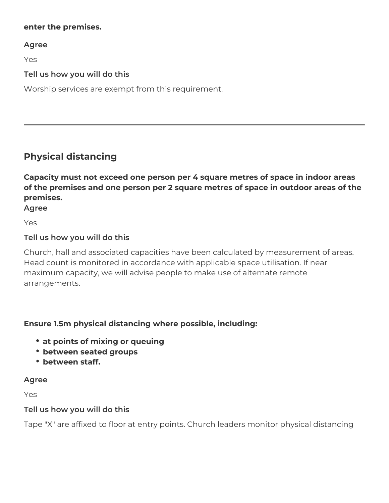#### **enter the premises.**

**Agree**

Yes

# **Tell us how you will do this**

Worship services are exempt from this requirement.

# **Physical distancing**

**Capacity must not exceed one person per 4 square metres of space in indoor areas of the premises and one person per 2 square metres of space in outdoor areas of the premises.**

**Agree**

Yes

#### **Tell us how you will do this**

Church, hall and associated capacities have been calculated by measurement of areas. Head count is monitored in accordance with applicable space utilisation. If near maximum capacity, we will advise people to make use of alternate remote arrangements.

# **Ensure 1.5m physical distancing where possible, including:**

- **at points of mixing or queuing**
- **between seated groups**
- **between staff.**

#### **Agree**

Yes

#### **Tell us how you will do this**

Tape "X" are affixed to floor at entry points. Church leaders monitor physical distancing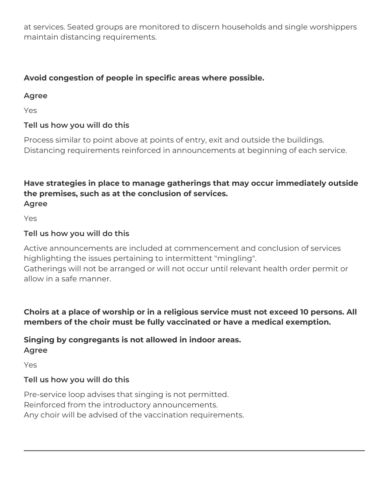at services. Seated groups are monitored to discern households and single worshippers maintain distancing requirements.

# **Avoid congestion of people in specific areas where possible.**

#### **Agree**

Yes

# **Tell us how you will do this**

Process similar to point above at points of entry, exit and outside the buildings. Distancing requirements reinforced in announcements at beginning of each service.

#### **Have strategies in place to manage gatherings that may occur immediately outside the premises, such as at the conclusion of services. Agree**

Yes

# **Tell us how you will do this**

Active announcements are included at commencement and conclusion of services highlighting the issues pertaining to intermittent "mingling". Gatherings will not be arranged or will not occur until relevant health order permit or

allow in a safe manner.

**Choirs at a place of worship or in a religious service must not exceed 10 persons. All members of the choir must be fully vaccinated or have a medical exemption.**

#### **Singing by congregants is not allowed in indoor areas. Agree**

Yes

# **Tell us how you will do this**

Pre-service loop advises that singing is not permitted. Reinforced from the introductory announcements. Any choir will be advised of the vaccination requirements.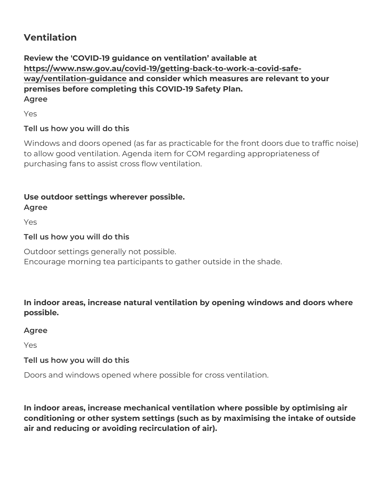#### Ventilation

Review the 'COVID-19 guidance on ventilation available at [https://www.nsw.gov.au/covid-19/getting-back-to-wo](http://www.nsw.gov.au/covid-19/getting-back-to-work-a-covid-safe-way/ventilation-guidance)rk-a-covid-safe [way/ventilation-gui](http://www.nsw.gov.au/covid-19/getting-back-to-work-a-covid-safe-way/ventilation-guidance)danndeconsider which measures are relevant to your premises before completing this COVID-19 Safety Plan. Agree

Yes

Tell us how you will do this

Windows and doors opened (as far as practicable for the front door to allow good ventilation. Agenda item for COM regarding appropriation purchasing fans to assist cross flow ventilation.

Use outdoor settings wherever possible.

Agree

Yes

Tell us how you will do this

Outdoor settings generally not possible. Encourage morning tea participants to gather outside in the shade.

In indoor areas, increase natural ventilation by opening windows a possible.

Agree

Yes

Tell us how you will do this

Doors and windows opened where possible for cross ventilation.

In indoor areas, increase mechanical ventilation where possible by conditioning or other system settings (such as by maximising the in air and reducing or avoiding recirculation of air).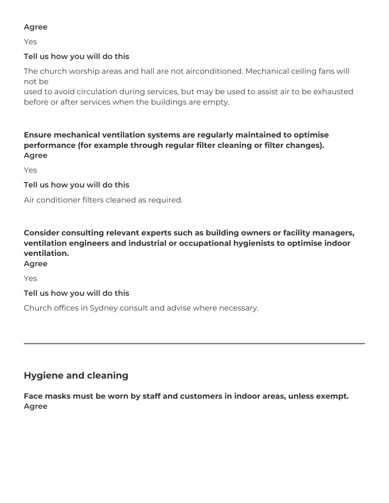## **Agree**

Yes

# **Tell us how you will do this**

The church worship areas and hall are not airconditioned. Mechanical ceiling fans will not be

used to avoid circulation during services, but may be used to assist air to be exhausted before or after services when the buildings are empty.

# **Ensure mechanical ventilation systems are regularly maintained to optimise performance (for example through regular filter cleaning or filter changes). Agree**

Yes

#### **Tell us how you will do this**

Air conditioner filters cleaned as required.

**Consider consulting relevant experts such as building owners or facility managers, ventilation engineers and industrial or occupational hygienists to optimise indoor ventilation.**

# **Agree**

Yes

#### **Tell us how you will do this**

Church offices in Sydney consult and advise where necessary.

# **Hygiene and cleaning**

**Face masks must be worn by staff and customers in indoor areas, unless exempt. Agree**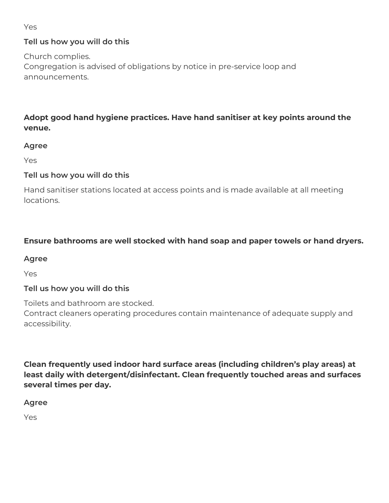Yes

# **Tell us how you will do this**

Church complies.

Congregation is advised of obligations by notice in pre-service loop and announcements.

# **Adopt good hand hygiene practices. Have hand sanitiser at key points around the venue.**

### **Agree**

Yes

# **Tell us how you will do this**

Hand sanitiser stations located at access points and is made available at all meeting locations.

# **Ensure bathrooms are well stocked with hand soap and paper towels or hand dryers.**

#### **Agree**

Yes

# **Tell us how you will do this**

Toilets and bathroom are stocked.

Contract cleaners operating procedures contain maintenance of adequate supply and accessibility.

**Clean frequently used indoor hard surface areas (including children's play areas) at least daily with detergent/disinfectant. Clean frequently touched areas and surfaces several times per day.**

**Agree**

Yes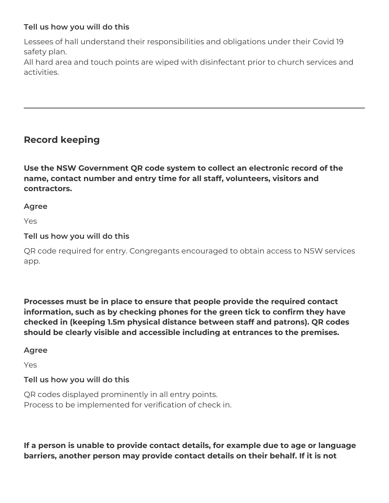### **Tell us how you will do this**

Lessees of hall understand their responsibilities and obligations under their Covid 19 safety plan.

All hard area and touch points are wiped with disinfectant prior to church services and activities.

# **Record keeping**

**Use the NSW Government QR code system to collect an electronic record of the name, contact number and entry time for all staff, volunteers, visitors and contractors.**

**Agree**

Yes

#### **Tell us how you will do this**

QR code required for entry. Congregants encouraged to obtain access to NSW services app.

**Processes must be in place to ensure that people provide the required contact information, such as by checking phones for the green tick to confirm they have checked in (keeping 1.5m physical distance between staff and patrons). QR codes should be clearly visible and accessible including at entrances to the premises.**

#### **Agree**

Yes

#### **Tell us how you will do this**

QR codes displayed prominently in all entry points. Process to be implemented for verification of check in.

**If a person is unable to provide contact details, for example due to age or language barriers, another person may provide contact details on their behalf. If it is not**